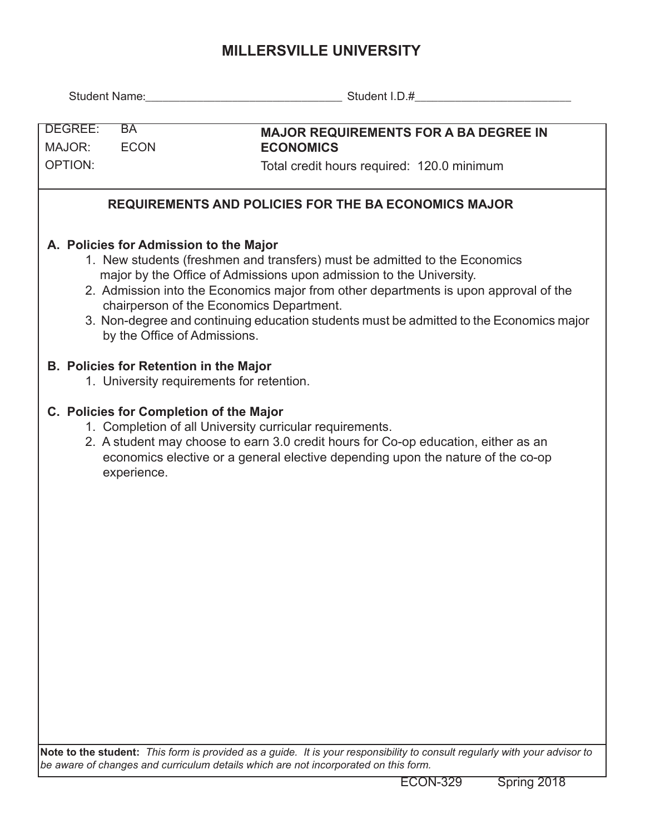## **MILLERSVILLE UNIVERSITY**

| DEGREE:<br>MAJOR:<br><b>OPTION:</b>                  | BA<br><b>ECON</b>                                                                                                                                                                                                                                                                                                                                                                                                                                          | <b>MAJOR REQUIREMENTS FOR A BA DEGREE IN</b><br><b>ECONOMICS</b><br>Total credit hours required: 120.0 minimum                                                                                                                    |  |  |  |  |  |  |  |  |  |  |
|------------------------------------------------------|------------------------------------------------------------------------------------------------------------------------------------------------------------------------------------------------------------------------------------------------------------------------------------------------------------------------------------------------------------------------------------------------------------------------------------------------------------|-----------------------------------------------------------------------------------------------------------------------------------------------------------------------------------------------------------------------------------|--|--|--|--|--|--|--|--|--|--|
| REQUIREMENTS AND POLICIES FOR THE BA ECONOMICS MAJOR |                                                                                                                                                                                                                                                                                                                                                                                                                                                            |                                                                                                                                                                                                                                   |  |  |  |  |  |  |  |  |  |  |
|                                                      | A. Policies for Admission to the Major<br>1. New students (freshmen and transfers) must be admitted to the Economics<br>major by the Office of Admissions upon admission to the University.<br>2. Admission into the Economics major from other departments is upon approval of the<br>chairperson of the Economics Department.<br>3. Non-degree and continuing education students must be admitted to the Economics major<br>by the Office of Admissions. |                                                                                                                                                                                                                                   |  |  |  |  |  |  |  |  |  |  |
|                                                      | <b>B. Policies for Retention in the Major</b><br>1. University requirements for retention.                                                                                                                                                                                                                                                                                                                                                                 |                                                                                                                                                                                                                                   |  |  |  |  |  |  |  |  |  |  |
|                                                      | C. Policies for Completion of the Major<br>experience.                                                                                                                                                                                                                                                                                                                                                                                                     | 1. Completion of all University curricular requirements.<br>2. A student may choose to earn 3.0 credit hours for Co-op education, either as an<br>economics elective or a general elective depending upon the nature of the co-op |  |  |  |  |  |  |  |  |  |  |
|                                                      |                                                                                                                                                                                                                                                                                                                                                                                                                                                            |                                                                                                                                                                                                                                   |  |  |  |  |  |  |  |  |  |  |

**Note to the student:** *This form is provided as a guide. It is your responsibility to consult regularly with your advisor to be aware of changes and curriculum details which are not incorporated on this form.*